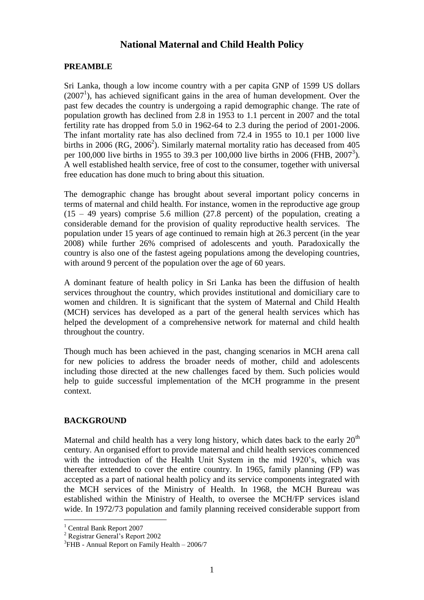# **National Maternal and Child Health Policy**

#### **PREAMBLE**

Sri Lanka, though a low income country with a per capita GNP of 1599 US dollars (2007 1 ), has achieved significant gains in the area of human development. Over the past few decades the country is undergoing a rapid demographic change. The rate of population growth has declined from 2.8 in 1953 to 1.1 percent in 2007 and the total fertility rate has dropped from 5.0 in 1962-64 to 2.3 during the period of 2001-2006. The infant mortality rate has also declined from 72.4 in 1955 to 10.1 per 1000 live births in 2006 (RG, 2006<sup>2</sup>). Similarly maternal mortality ratio has deceased from 405 per 100,000 live births in 1955 to 39.3 per 100,000 live births in 2006 (FHB, 2007<sup>3</sup>). A well established health service, free of cost to the consumer, together with universal free education has done much to bring about this situation.

The demographic change has brought about several important policy concerns in terms of maternal and child health. For instance, women in the reproductive age group  $(15 - 49 \text{ years})$  comprise 5.6 million  $(27.8 \text{ percent})$  of the population, creating a considerable demand for the provision of quality reproductive health services. The population under 15 years of age continued to remain high at 26.3 percent (in the year 2008) while further 26% comprised of adolescents and youth. Paradoxically the country is also one of the fastest ageing populations among the developing countries, with around 9 percent of the population over the age of 60 years.

A dominant feature of health policy in Sri Lanka has been the diffusion of health services throughout the country, which provides institutional and domiciliary care to women and children. It is significant that the system of Maternal and Child Health (MCH) services has developed as a part of the general health services which has helped the development of a comprehensive network for maternal and child health throughout the country.

Though much has been achieved in the past, changing scenarios in MCH arena call for new policies to address the broader needs of mother, child and adolescents including those directed at the new challenges faced by them. Such policies would help to guide successful implementation of the MCH programme in the present context.

### **BACKGROUND**

Maternal and child health has a very long history, which dates back to the early  $20<sup>th</sup>$ century. An organised effort to provide maternal and child health services commenced with the introduction of the Health Unit System in the mid 1920's, which was thereafter extended to cover the entire country. In 1965, family planning (FP) was accepted as a part of national health policy and its service components integrated with the MCH services of the Ministry of Health. In 1968, the MCH Bureau was established within the Ministry of Health, to oversee the MCH/FP services island wide. In 1972/73 population and family planning received considerable support from

<u>.</u>

<sup>1</sup> Central Bank Report 2007

<sup>2</sup> Registrar General's Report 2002

<sup>&</sup>lt;sup>3</sup>FHB - Annual Report on Family Health – 2006/7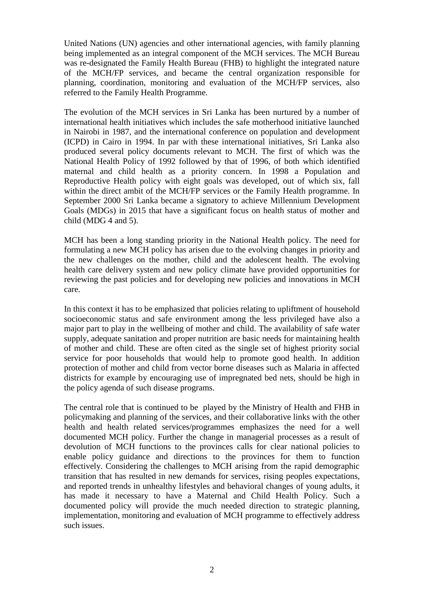United Nations (UN) agencies and other international agencies, with family planning being implemented as an integral component of the MCH services. The MCH Bureau was re-designated the Family Health Bureau (FHB) to highlight the integrated nature of the MCH/FP services, and became the central organization responsible for planning, coordination, monitoring and evaluation of the MCH/FP services, also referred to the Family Health Programme.

The evolution of the MCH services in Sri Lanka has been nurtured by a number of international health initiatives which includes the safe motherhood initiative launched in Nairobi in 1987, and the international conference on population and development (ICPD) in Cairo in 1994. In par with these international initiatives, Sri Lanka also produced several policy documents relevant to MCH. The first of which was the National Health Policy of 1992 followed by that of 1996, of both which identified maternal and child health as a priority concern. In 1998 a Population and Reproductive Health policy with eight goals was developed, out of which six, fall within the direct ambit of the MCH/FP services or the Family Health programme. In September 2000 Sri Lanka became a signatory to achieve Millennium Development Goals (MDGs) in 2015 that have a significant focus on health status of mother and child (MDG 4 and 5).

MCH has been a long standing priority in the National Health policy. The need for formulating a new MCH policy has arisen due to the evolving changes in priority and the new challenges on the mother, child and the adolescent health. The evolving health care delivery system and new policy climate have provided opportunities for reviewing the past policies and for developing new policies and innovations in MCH care.

In this context it has to be emphasized that policies relating to upliftment of household socioeconomic status and safe environment among the less privileged have also a major part to play in the wellbeing of mother and child. The availability of safe water supply, adequate sanitation and proper nutrition are basic needs for maintaining health of mother and child. These are often cited as the single set of highest priority social service for poor households that would help to promote good health. In addition protection of mother and child from vector borne diseases such as Malaria in affected districts for example by encouraging use of impregnated bed nets, should be high in the policy agenda of such disease programs.

The central role that is continued to be played by the Ministry of Health and FHB in policymaking and planning of the services, and their collaborative links with the other health and health related services/programmes emphasizes the need for a well documented MCH policy. Further the change in managerial processes as a result of devolution of MCH functions to the provinces calls for clear national policies to enable policy guidance and directions to the provinces for them to function effectively. Considering the challenges to MCH arising from the rapid demographic transition that has resulted in new demands for services, rising peoples expectations, and reported trends in unhealthy lifestyles and behavioral changes of young adults, it has made it necessary to have a Maternal and Child Health Policy. Such a documented policy will provide the much needed direction to strategic planning, implementation, monitoring and evaluation of MCH programme to effectively address such issues.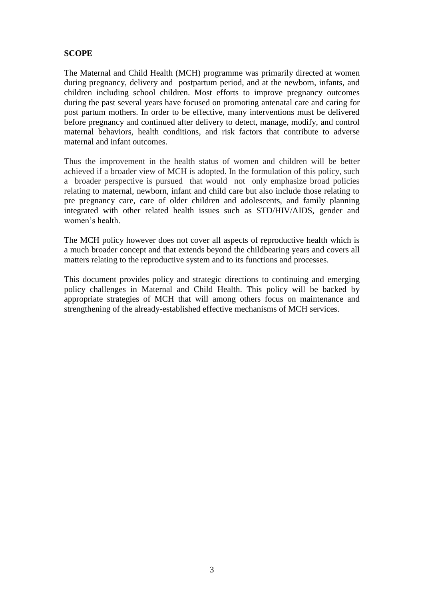### **SCOPE**

The Maternal and Child Health (MCH) programme was primarily directed at women during pregnancy, delivery and postpartum period, and at the newborn, infants, and children including school children. Most efforts to improve pregnancy outcomes during the past several years have focused on promoting antenatal care and caring for post partum mothers. In order to be effective, many interventions must be delivered before pregnancy and continued after delivery to detect, manage, modify, and control maternal behaviors, health conditions, and risk factors that contribute to adverse maternal and infant outcomes.

Thus the improvement in the health status of women and children will be better achieved if a broader view of MCH is adopted. In the formulation of this policy, such a broader perspective is pursued that would not only emphasize broad policies relating to maternal, newborn, infant and child care but also include those relating to pre pregnancy care, care of older children and adolescents, and family planning integrated with other related health issues such as STD/HIV/AIDS, gender and women's health.

The MCH policy however does not cover all aspects of reproductive health which is a much broader concept and that extends beyond the childbearing years and covers all matters relating to the reproductive system and to its functions and processes.

This document provides policy and strategic directions to continuing and emerging policy challenges in Maternal and Child Health. This policy will be backed by appropriate strategies of MCH that will among others focus on maintenance and strengthening of the already-established effective mechanisms of MCH services.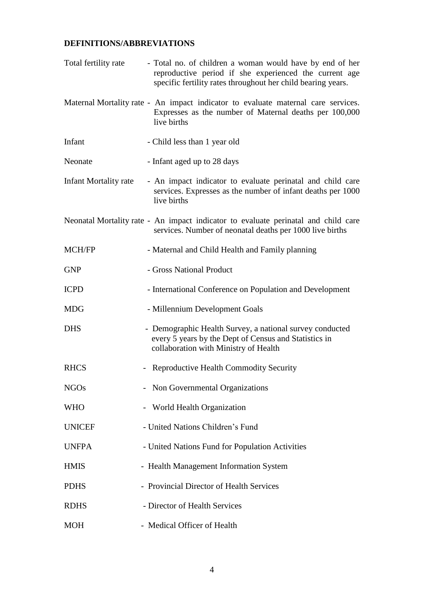# **DEFINITIONS/ABBREVIATIONS**

| Total fertility rate         | - Total no. of children a woman would have by end of her<br>reproductive period if she experienced the current age<br>specific fertility rates throughout her child bearing years. |
|------------------------------|------------------------------------------------------------------------------------------------------------------------------------------------------------------------------------|
|                              | Maternal Mortality rate - An impact indicator to evaluate maternal care services.<br>Expresses as the number of Maternal deaths per 100,000<br>live births                         |
| Infant                       | - Child less than 1 year old                                                                                                                                                       |
| Neonate                      | - Infant aged up to 28 days                                                                                                                                                        |
| <b>Infant Mortality rate</b> | - An impact indicator to evaluate perinatal and child care<br>services. Expresses as the number of infant deaths per 1000<br>live births                                           |
|                              | Neonatal Mortality rate - An impact indicator to evaluate perinatal and child care<br>services. Number of neonatal deaths per 1000 live births                                     |
| MCH/FP                       | - Maternal and Child Health and Family planning                                                                                                                                    |
| <b>GNP</b>                   | - Gross National Product                                                                                                                                                           |
| <b>ICPD</b>                  | - International Conference on Population and Development                                                                                                                           |
| <b>MDG</b>                   | - Millennium Development Goals                                                                                                                                                     |
| <b>DHS</b>                   | - Demographic Health Survey, a national survey conducted<br>every 5 years by the Dept of Census and Statistics in<br>collaboration with Ministry of Health                         |
| <b>RHCS</b>                  | <b>Reproductive Health Commodity Security</b>                                                                                                                                      |
| <b>NGOs</b>                  | - Non Governmental Organizations                                                                                                                                                   |
| <b>WHO</b>                   | <b>World Health Organization</b>                                                                                                                                                   |
| <b>UNICEF</b>                | - United Nations Children's Fund                                                                                                                                                   |
| <b>UNFPA</b>                 | - United Nations Fund for Population Activities                                                                                                                                    |
| <b>HMIS</b>                  | - Health Management Information System                                                                                                                                             |
| <b>PDHS</b>                  | - Provincial Director of Health Services                                                                                                                                           |
| <b>RDHS</b>                  | - Director of Health Services                                                                                                                                                      |
| <b>MOH</b>                   | - Medical Officer of Health                                                                                                                                                        |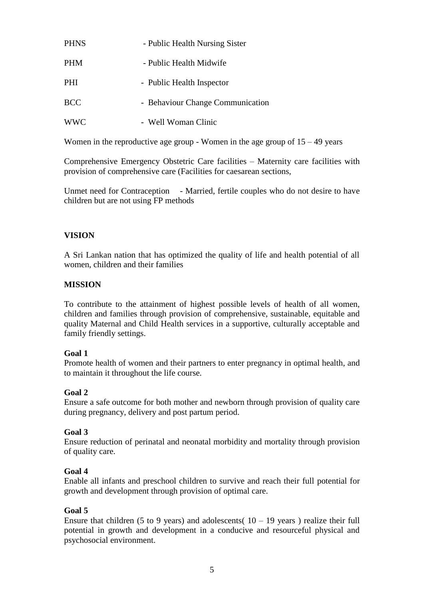| <b>PHNS</b> | - Public Health Nursing Sister   |
|-------------|----------------------------------|
| <b>PHM</b>  | - Public Health Midwife          |
| <b>PHI</b>  | - Public Health Inspector        |
| <b>BCC</b>  | - Behaviour Change Communication |
| <b>WWC</b>  | - Well Woman Clinic              |

Women in the reproductive age group - Women in the age group of  $15 - 49$  years

Comprehensive Emergency Obstetric Care facilities – Maternity care facilities with provision of comprehensive care (Facilities for caesarean sections,

Unmet need for Contraception - Married, fertile couples who do not desire to have children but are not using FP methods

## **VISION**

A Sri Lankan nation that has optimized the quality of life and health potential of all women, children and their families

### **MISSION**

To contribute to the attainment of highest possible levels of health of all women, children and families through provision of comprehensive, sustainable, equitable and quality Maternal and Child Health services in a supportive, culturally acceptable and family friendly settings.

#### **Goal 1**

Promote health of women and their partners to enter pregnancy in optimal health, and to maintain it throughout the life course.

#### **Goal 2**

Ensure a safe outcome for both mother and newborn through provision of quality care during pregnancy, delivery and post partum period.

### **Goal 3**

Ensure reduction of perinatal and neonatal morbidity and mortality through provision of quality care.

#### **Goal 4**

Enable all infants and preschool children to survive and reach their full potential for growth and development through provision of optimal care.

#### **Goal 5**

Ensure that children (5 to 9 years) and adolescents(  $10 - 19$  years) realize their full potential in growth and development in a conducive and resourceful physical and psychosocial environment.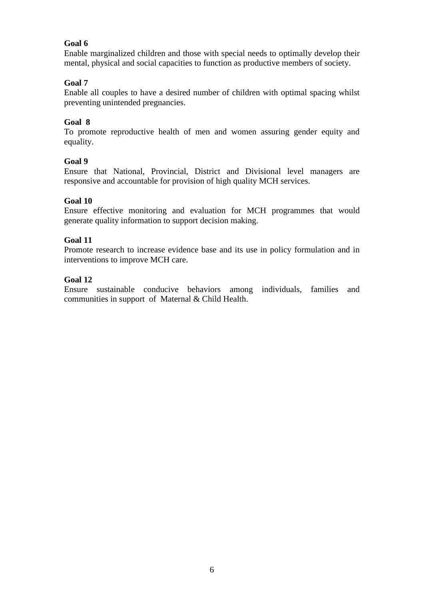## **Goal 6**

Enable marginalized children and those with special needs to optimally develop their mental, physical and social capacities to function as productive members of society.

## **Goal 7**

Enable all couples to have a desired number of children with optimal spacing whilst preventing unintended pregnancies.

### **Goal 8**

To promote reproductive health of men and women assuring gender equity and equality.

### **Goal 9**

Ensure that National, Provincial, District and Divisional level managers are responsive and accountable for provision of high quality MCH services.

## **Goal 10**

Ensure effective monitoring and evaluation for MCH programmes that would generate quality information to support decision making.

### **Goal 11**

Promote research to increase evidence base and its use in policy formulation and in interventions to improve MCH care.

### **Goal 12**

Ensure sustainable conducive behaviors among individuals, families and communities in support of Maternal & Child Health.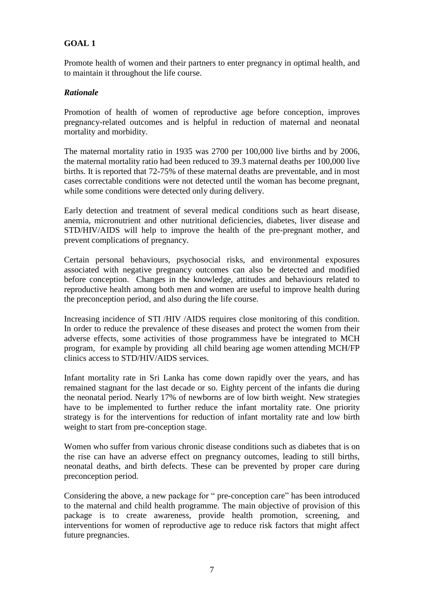# **GOAL 1**

Promote health of women and their partners to enter pregnancy in optimal health, and to maintain it throughout the life course.

### *Rationale*

Promotion of health of women of reproductive age before conception, improves pregnancy-related outcomes and is helpful in reduction of maternal and neonatal mortality and morbidity.

The maternal mortality ratio in 1935 was 2700 per 100,000 live births and by 2006, the maternal mortality ratio had been reduced to 39.3 maternal deaths per 100,000 live births. It is reported that 72-75% of these maternal deaths are preventable, and in most cases correctable conditions were not detected until the woman has become pregnant, while some conditions were detected only during delivery.

Early detection and treatment of several medical conditions such as heart disease, anemia, micronutrient and other nutritional deficiencies, diabetes, liver disease and STD/HIV/AIDS will help to improve the health of the pre-pregnant mother, and prevent complications of pregnancy.

Certain personal behaviours, psychosocial risks, and environmental exposures associated with negative pregnancy outcomes can also be detected and modified before conception. Changes in the knowledge, attitudes and behaviours related to reproductive health among both men and women are useful to improve health during the preconception period, and also during the life course.

Increasing incidence of STI /HIV /AIDS requires close monitoring of this condition. In order to reduce the prevalence of these diseases and protect the women from their adverse effects, some activities of those programmess have be integrated to MCH program, for example by providing all child bearing age women attending MCH/FP clinics access to STD/HIV/AIDS services.

Infant mortality rate in Sri Lanka has come down rapidly over the years, and has remained stagnant for the last decade or so. Eighty percent of the infants die during the neonatal period. Nearly 17% of newborns are of low birth weight. New strategies have to be implemented to further reduce the infant mortality rate. One priority strategy is for the interventions for reduction of infant mortality rate and low birth weight to start from pre-conception stage.

Women who suffer from various chronic disease conditions such as diabetes that is on the rise can have an adverse effect on pregnancy outcomes, leading to still births, neonatal deaths, and birth defects. These can be prevented by proper care during preconception period.

Considering the above, a new package for " pre-conception care" has been introduced to the maternal and child health programme. The main objective of provision of this package is to create awareness, provide health promotion, screening, and interventions for women of reproductive age to reduce risk factors that might affect future pregnancies.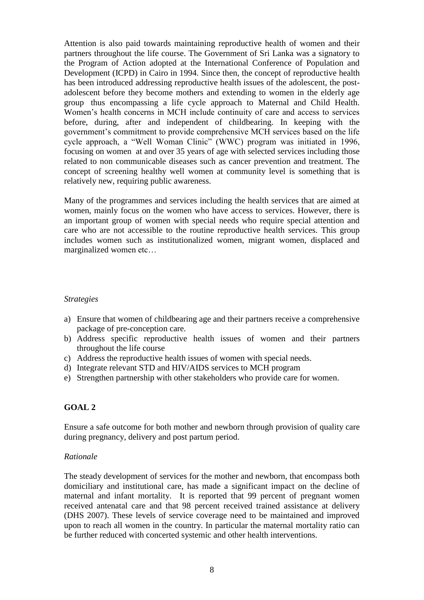Attention is also paid towards maintaining reproductive health of women and their partners throughout the life course. The Government of Sri Lanka was a signatory to the Program of Action adopted at the International Conference of Population and Development (ICPD) in Cairo in 1994. Since then, the concept of reproductive health has been introduced addressing reproductive health issues of the adolescent, the postadolescent before they become mothers and extending to women in the elderly age group thus encompassing a life cycle approach to Maternal and Child Health. Women's health concerns in MCH include continuity of care and access to services before, during, after and independent of childbearing. In keeping with the government's commitment to provide comprehensive MCH services based on the life cycle approach, a "Well Woman Clinic" (WWC) program was initiated in 1996, focusing on women at and over 35 years of age with selected services including those related to non communicable diseases such as cancer prevention and treatment. The concept of screening healthy well women at community level is something that is relatively new, requiring public awareness.

Many of the programmes and services including the health services that are aimed at women, mainly focus on the women who have access to services. However, there is an important group of women with special needs who require special attention and care who are not accessible to the routine reproductive health services. This group includes women such as institutionalized women, migrant women, displaced and marginalized women etc…

#### *Strategies*

- a) Ensure that women of childbearing age and their partners receive a comprehensive package of pre-conception care.
- b) Address specific reproductive health issues of women and their partners throughout the life course
- c) Address the reproductive health issues of women with special needs.
- d) Integrate relevant STD and HIV/AIDS services to MCH program
- e) Strengthen partnership with other stakeholders who provide care for women.

#### **GOAL 2**

Ensure a safe outcome for both mother and newborn through provision of quality care during pregnancy, delivery and post partum period.

#### *Rationale*

The steady development of services for the mother and newborn, that encompass both domiciliary and institutional care, has made a significant impact on the decline of maternal and infant mortality. It is reported that 99 percent of pregnant women received antenatal care and that 98 percent received trained assistance at delivery (DHS 2007). These levels of service coverage need to be maintained and improved upon to reach all women in the country. In particular the maternal mortality ratio can be further reduced with concerted systemic and other health interventions.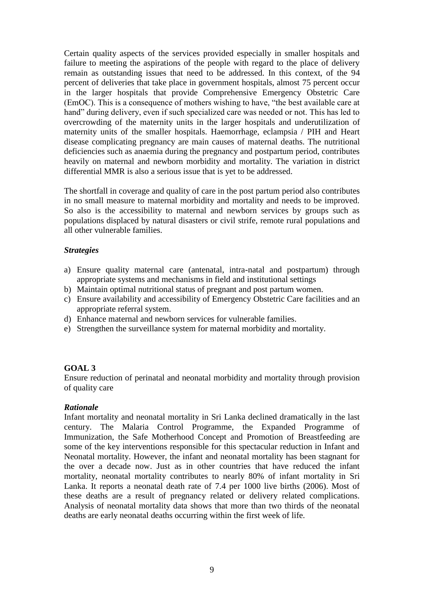Certain quality aspects of the services provided especially in smaller hospitals and failure to meeting the aspirations of the people with regard to the place of delivery remain as outstanding issues that need to be addressed. In this context, of the 94 percent of deliveries that take place in government hospitals, almost 75 percent occur in the larger hospitals that provide Comprehensive Emergency Obstetric Care (EmOC). This is a consequence of mothers wishing to have, "the best available care at hand" during delivery, even if such specialized care was needed or not. This has led to overcrowding of the maternity units in the larger hospitals and underutilization of maternity units of the smaller hospitals. Haemorrhage, eclampsia / PIH and Heart disease complicating pregnancy are main causes of maternal deaths. The nutritional deficiencies such as anaemia during the pregnancy and postpartum period, contributes heavily on maternal and newborn morbidity and mortality. The variation in district differential MMR is also a serious issue that is yet to be addressed.

The shortfall in coverage and quality of care in the post partum period also contributes in no small measure to maternal morbidity and mortality and needs to be improved. So also is the accessibility to maternal and newborn services by groups such as populations displaced by natural disasters or civil strife, remote rural populations and all other vulnerable families.

#### *Strategies*

- a) Ensure quality maternal care (antenatal, intra-natal and postpartum) through appropriate systems and mechanisms in field and institutional settings
- b) Maintain optimal nutritional status of pregnant and post partum women.
- c) Ensure availability and accessibility of Emergency Obstetric Care facilities and an appropriate referral system.
- d) Enhance maternal and newborn services for vulnerable families.
- e) Strengthen the surveillance system for maternal morbidity and mortality.

#### **GOAL 3**

Ensure reduction of perinatal and neonatal morbidity and mortality through provision of quality care

#### *Rationale*

Infant mortality and neonatal mortality in Sri Lanka declined dramatically in the last century. The Malaria Control Programme, the Expanded Programme of Immunization, the Safe Motherhood Concept and Promotion of Breastfeeding are some of the key interventions responsible for this spectacular reduction in Infant and Neonatal mortality. However, the infant and neonatal mortality has been stagnant for the over a decade now. Just as in other countries that have reduced the infant mortality, neonatal mortality contributes to nearly 80% of infant mortality in Sri Lanka. It reports a neonatal death rate of 7.4 per 1000 live births (2006). Most of these deaths are a result of pregnancy related or delivery related complications. Analysis of neonatal mortality data shows that more than two thirds of the neonatal deaths are early neonatal deaths occurring within the first week of life.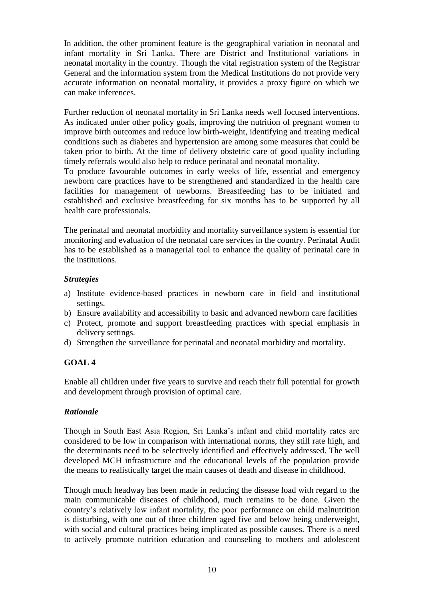In addition, the other prominent feature is the geographical variation in neonatal and infant mortality in Sri Lanka. There are District and Institutional variations in neonatal mortality in the country. Though the vital registration system of the Registrar General and the information system from the Medical Institutions do not provide very accurate information on neonatal mortality, it provides a proxy figure on which we can make inferences.

Further reduction of neonatal mortality in Sri Lanka needs well focused interventions. As indicated under other policy goals, improving the nutrition of pregnant women to improve birth outcomes and reduce low birth-weight, identifying and treating medical conditions such as diabetes and hypertension are among some measures that could be taken prior to birth. At the time of delivery obstetric care of good quality including timely referrals would also help to reduce perinatal and neonatal mortality.

To produce favourable outcomes in early weeks of life, essential and emergency newborn care practices have to be strengthened and standardized in the health care facilities for management of newborns. Breastfeeding has to be initiated and established and exclusive breastfeeding for six months has to be supported by all health care professionals.

The perinatal and neonatal morbidity and mortality surveillance system is essential for monitoring and evaluation of the neonatal care services in the country. Perinatal Audit has to be established as a managerial tool to enhance the quality of perinatal care in the institutions.

### *Strategies*

- a) Institute evidence-based practices in newborn care in field and institutional settings.
- b) Ensure availability and accessibility to basic and advanced newborn care facilities
- c) Protect, promote and support breastfeeding practices with special emphasis in delivery settings.
- d) Strengthen the surveillance for perinatal and neonatal morbidity and mortality.

# **GOAL 4**

Enable all children under five years to survive and reach their full potential for growth and development through provision of optimal care.

### *Rationale*

Though in South East Asia Region, Sri Lanka's infant and child mortality rates are considered to be low in comparison with international norms, they still rate high, and the determinants need to be selectively identified and effectively addressed. The well developed MCH infrastructure and the educational levels of the population provide the means to realistically target the main causes of death and disease in childhood.

Though much headway has been made in reducing the disease load with regard to the main communicable diseases of childhood, much remains to be done. Given the country's relatively low infant mortality, the poor performance on child malnutrition is disturbing, with one out of three children aged five and below being underweight, with social and cultural practices being implicated as possible causes. There is a need to actively promote nutrition education and counseling to mothers and adolescent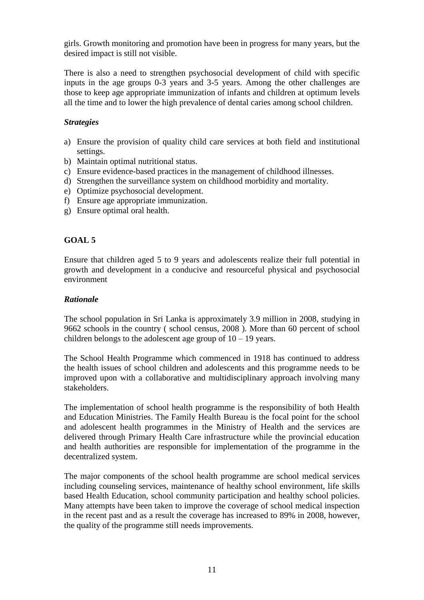girls. Growth monitoring and promotion have been in progress for many years, but the desired impact is still not visible.

There is also a need to strengthen psychosocial development of child with specific inputs in the age groups 0-3 years and 3-5 years. Among the other challenges are those to keep age appropriate immunization of infants and children at optimum levels all the time and to lower the high prevalence of dental caries among school children.

#### *Strategies*

- a) Ensure the provision of quality child care services at both field and institutional settings.
- b) Maintain optimal nutritional status.
- c) Ensure evidence-based practices in the management of childhood illnesses.
- d) Strengthen the surveillance system on childhood morbidity and mortality.
- e) Optimize psychosocial development.
- f) Ensure age appropriate immunization.
- g) Ensure optimal oral health.

#### **GOAL 5**

Ensure that children aged 5 to 9 years and adolescents realize their full potential in growth and development in a conducive and resourceful physical and psychosocial environment

#### *Rationale*

The school population in Sri Lanka is approximately 3.9 million in 2008, studying in 9662 schools in the country ( school census, 2008 ). More than 60 percent of school children belongs to the adolescent age group of  $10 - 19$  years.

The School Health Programme which commenced in 1918 has continued to address the health issues of school children and adolescents and this programme needs to be improved upon with a collaborative and multidisciplinary approach involving many stakeholders.

The implementation of school health programme is the responsibility of both Health and Education Ministries. The Family Health Bureau is the focal point for the school and adolescent health programmes in the Ministry of Health and the services are delivered through Primary Health Care infrastructure while the provincial education and health authorities are responsible for implementation of the programme in the decentralized system.

The major components of the school health programme are school medical services including counseling services, maintenance of healthy school environment, life skills based Health Education, school community participation and healthy school policies. Many attempts have been taken to improve the coverage of school medical inspection in the recent past and as a result the coverage has increased to 89% in 2008, however, the quality of the programme still needs improvements.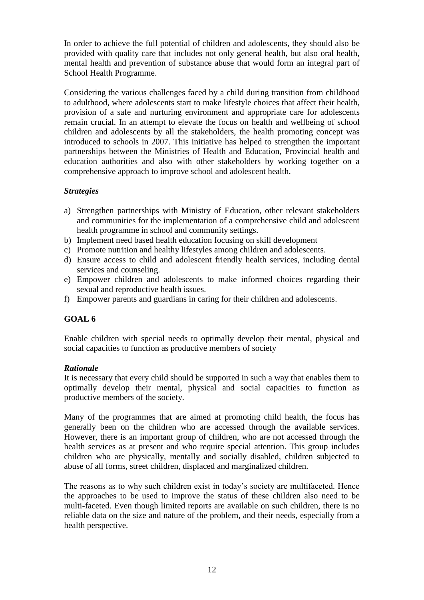In order to achieve the full potential of children and adolescents, they should also be provided with quality care that includes not only general health, but also oral health, mental health and prevention of substance abuse that would form an integral part of School Health Programme.

Considering the various challenges faced by a child during transition from childhood to adulthood, where adolescents start to make lifestyle choices that affect their health, provision of a safe and nurturing environment and appropriate care for adolescents remain crucial. In an attempt to elevate the focus on health and wellbeing of school children and adolescents by all the stakeholders, the health promoting concept was introduced to schools in 2007. This initiative has helped to strengthen the important partnerships between the Ministries of Health and Education, Provincial health and education authorities and also with other stakeholders by working together on a comprehensive approach to improve school and adolescent health.

### *Strategies*

- a) Strengthen partnerships with Ministry of Education, other relevant stakeholders and communities for the implementation of a comprehensive child and adolescent health programme in school and community settings.
- b) Implement need based health education focusing on skill development
- c) Promote nutrition and healthy lifestyles among children and adolescents.
- d) Ensure access to child and adolescent friendly health services, including dental services and counseling.
- e) Empower children and adolescents to make informed choices regarding their sexual and reproductive health issues.
- f) Empower parents and guardians in caring for their children and adolescents.

### **GOAL 6**

Enable children with special needs to optimally develop their mental, physical and social capacities to function as productive members of society

#### *Rationale*

It is necessary that every child should be supported in such a way that enables them to optimally develop their mental, physical and social capacities to function as productive members of the society.

Many of the programmes that are aimed at promoting child health, the focus has generally been on the children who are accessed through the available services. However, there is an important group of children, who are not accessed through the health services as at present and who require special attention. This group includes children who are physically, mentally and socially disabled, children subjected to abuse of all forms, street children, displaced and marginalized children.

The reasons as to why such children exist in today's society are multifaceted. Hence the approaches to be used to improve the status of these children also need to be multi-faceted. Even though limited reports are available on such children, there is no reliable data on the size and nature of the problem, and their needs, especially from a health perspective.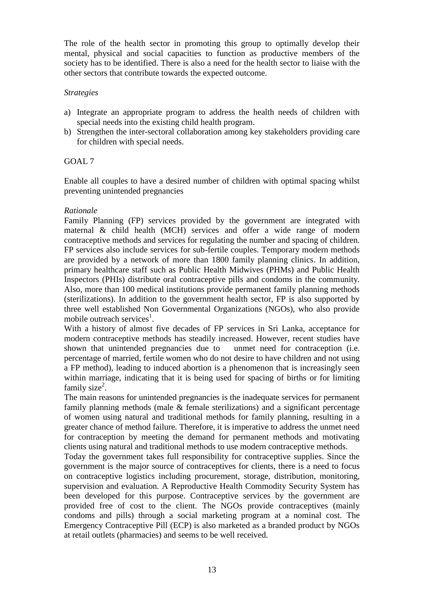The role of the health sector in promoting this group to optimally develop their mental, physical and social capacities to function as productive members of the society has to be identified. There is also a need for the health sector to liaise with the other sectors that contribute towards the expected outcome.

#### *Strategies*

- a) Integrate an appropriate program to address the health needs of children with special needs into the existing child health program.
- b) Strengthen the inter-sectoral collaboration among key stakeholders providing care for children with special needs.

### GOAL 7

Enable all couples to have a desired number of children with optimal spacing whilst preventing unintended pregnancies

#### *Rationale*

Family Planning (FP) services provided by the government are integrated with maternal & child health (MCH) services and offer a wide range of modern contraceptive methods and services for regulating the number and spacing of children. FP services also include services for sub-fertile couples. Temporary modern methods are provided by a network of more than 1800 family planning clinics. In addition, primary healthcare staff such as Public Health Midwives (PHMs) and Public Health Inspectors (PHIs) distribute oral contraceptive pills and condoms in the community. Also, more than 100 medical institutions provide permanent family planning methods (sterilizations). In addition to the government health sector, FP is also supported by three well established Non Governmental Organizations (NGOs), who also provide mobile outreach services<sup>1</sup>.

With a history of almost five decades of FP services in Sri Lanka, acceptance for modern contraceptive methods has steadily increased. However, recent studies have shown that unintended pregnancies due to unmet need for contraception (i.e. percentage of married, fertile women who do not desire to have children and not using a FP method), leading to induced abortion is a phenomenon that is increasingly seen within marriage, indicating that it is being used for spacing of births or for limiting family size<sup>2</sup>.

The main reasons for unintended pregnancies is the inadequate services for permanent family planning methods (male & female sterilizations) and a significant percentage of women using natural and traditional methods for family planning, resulting in a greater chance of method failure. Therefore, it is imperative to address the unmet need for contraception by meeting the demand for permanent methods and motivating clients using natural and traditional methods to use modern contraceptive methods.

Today the government takes full responsibility for contraceptive supplies. Since the government is the major source of contraceptives for clients, there is a need to focus on contraceptive logistics including procurement, storage, distribution, monitoring, supervision and evaluation. A Reproductive Health Commodity Security System has been developed for this purpose. Contraceptive services by the government are provided free of cost to the client. The NGOs provide contraceptives (mainly condoms and pills) through a social marketing program at a nominal cost. The Emergency Contraceptive Pill (ECP) is also marketed as a branded product by NGOs at retail outlets (pharmacies) and seems to be well received.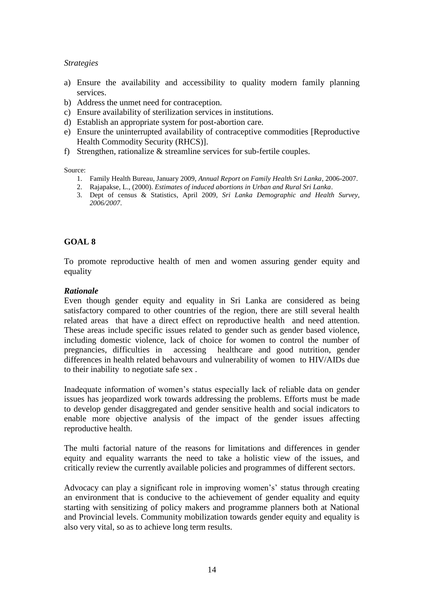#### *Strategies*

- a) Ensure the availability and accessibility to quality modern family planning services.
- b) Address the unmet need for contraception.
- c) Ensure availability of sterilization services in institutions.
- d) Establish an appropriate system for post-abortion care.
- e) Ensure the uninterrupted availability of contraceptive commodities [Reproductive Health Commodity Security (RHCS)].
- f) Strengthen, rationalize & streamline services for sub-fertile couples.

Source:

- 1. Family Health Bureau, January 2009, *Annual Report on Family Health Sri Lanka*, 2006-2007.
- 2. Rajapakse, L., (2000). *Estimates of induced abortions in Urban and Rural Sri Lanka*.
- 3. Dept of census & Statistics, April 2009, *Sri Lanka Demographic and Health Survey, 2006/2007*.

#### **GOAL 8**

To promote reproductive health of men and women assuring gender equity and equality

#### *Rationale*

Even though gender equity and equality in Sri Lanka are considered as being satisfactory compared to other countries of the region, there are still several health related areas that have a direct effect on reproductive health and need attention. These areas include specific issues related to gender such as gender based violence, including domestic violence, lack of choice for women to control the number of pregnancies, difficulties in accessing healthcare and good nutrition, gender differences in health related behavours and vulnerability of women to HIV/AIDs due to their inability to negotiate safe sex .

Inadequate information of women's status especially lack of reliable data on gender issues has jeopardized work towards addressing the problems. Efforts must be made to develop gender disaggregated and gender sensitive health and social indicators to enable more objective analysis of the impact of the gender issues affecting reproductive health.

The multi factorial nature of the reasons for limitations and differences in gender equity and equality warrants the need to take a holistic view of the issues, and critically review the currently available policies and programmes of different sectors.

Advocacy can play a significant role in improving women's' status through creating an environment that is conducive to the achievement of gender equality and equity starting with sensitizing of policy makers and programme planners both at National and Provincial levels. Community mobilization towards gender equity and equality is also very vital, so as to achieve long term results.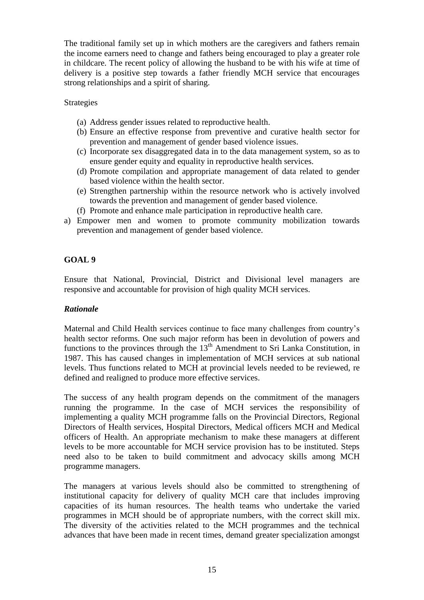The traditional family set up in which mothers are the caregivers and fathers remain the income earners need to change and fathers being encouraged to play a greater role in childcare. The recent policy of allowing the husband to be with his wife at time of delivery is a positive step towards a father friendly MCH service that encourages strong relationships and a spirit of sharing.

#### Strategies

- (a) Address gender issues related to reproductive health.
- (b) Ensure an effective response from preventive and curative health sector for prevention and management of gender based violence issues.
- (c) Incorporate sex disaggregated data in to the data management system, so as to ensure gender equity and equality in reproductive health services.
- (d) Promote compilation and appropriate management of data related to gender based violence within the health sector.
- (e) Strengthen partnership within the resource network who is actively involved towards the prevention and management of gender based violence.
- (f) Promote and enhance male participation in reproductive health care.
- a) Empower men and women to promote community mobilization towards prevention and management of gender based violence.

## **GOAL 9**

Ensure that National, Provincial, District and Divisional level managers are responsive and accountable for provision of high quality MCH services.

#### *Rationale*

Maternal and Child Health services continue to face many challenges from country's health sector reforms. One such major reform has been in devolution of powers and functions to the provinces through the  $13<sup>th</sup>$  Amendment to Sri Lanka Constitution, in 1987. This has caused changes in implementation of MCH services at sub national levels. Thus functions related to MCH at provincial levels needed to be reviewed, re defined and realigned to produce more effective services.

The success of any health program depends on the commitment of the managers running the programme. In the case of MCH services the responsibility of implementing a quality MCH programme falls on the Provincial Directors, Regional Directors of Health services, Hospital Directors, Medical officers MCH and Medical officers of Health. An appropriate mechanism to make these managers at different levels to be more accountable for MCH service provision has to be instituted. Steps need also to be taken to build commitment and advocacy skills among MCH programme managers.

The managers at various levels should also be committed to strengthening of institutional capacity for delivery of quality MCH care that includes improving capacities of its human resources. The health teams who undertake the varied programmes in MCH should be of appropriate numbers, with the correct skill mix. The diversity of the activities related to the MCH programmes and the technical advances that have been made in recent times, demand greater specialization amongst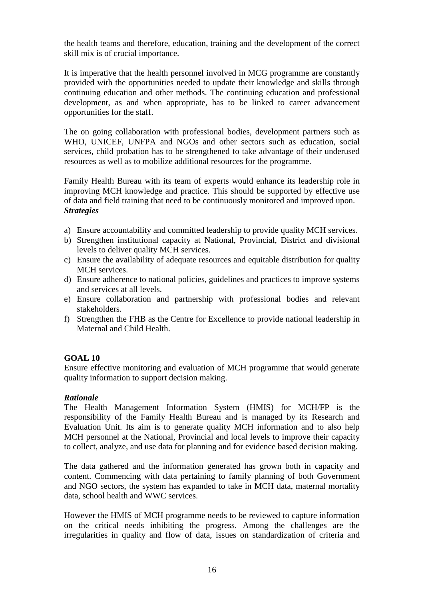the health teams and therefore, education, training and the development of the correct skill mix is of crucial importance.

It is imperative that the health personnel involved in MCG programme are constantly provided with the opportunities needed to update their knowledge and skills through continuing education and other methods. The continuing education and professional development, as and when appropriate, has to be linked to career advancement opportunities for the staff.

The on going collaboration with professional bodies, development partners such as WHO, UNICEF, UNFPA and NGOs and other sectors such as education, social services, child probation has to be strengthened to take advantage of their underused resources as well as to mobilize additional resources for the programme.

Family Health Bureau with its team of experts would enhance its leadership role in improving MCH knowledge and practice. This should be supported by effective use of data and field training that need to be continuously monitored and improved upon. *Strategies*

- a) Ensure accountability and committed leadership to provide quality MCH services.
- b) Strengthen institutional capacity at National, Provincial, District and divisional levels to deliver quality MCH services.
- c) Ensure the availability of adequate resources and equitable distribution for quality MCH services.
- d) Ensure adherence to national policies, guidelines and practices to improve systems and services at all levels.
- e) Ensure collaboration and partnership with professional bodies and relevant stakeholders.
- f) Strengthen the FHB as the Centre for Excellence to provide national leadership in Maternal and Child Health.

### **GOAL 10**

Ensure effective monitoring and evaluation of MCH programme that would generate quality information to support decision making.

### *Rationale*

The Health Management Information System (HMIS) for MCH/FP is the responsibility of the Family Health Bureau and is managed by its Research and Evaluation Unit. Its aim is to generate quality MCH information and to also help MCH personnel at the National, Provincial and local levels to improve their capacity to collect, analyze, and use data for planning and for evidence based decision making.

The data gathered and the information generated has grown both in capacity and content. Commencing with data pertaining to family planning of both Government and NGO sectors, the system has expanded to take in MCH data, maternal mortality data, school health and WWC services.

However the HMIS of MCH programme needs to be reviewed to capture information on the critical needs inhibiting the progress. Among the challenges are the irregularities in quality and flow of data, issues on standardization of criteria and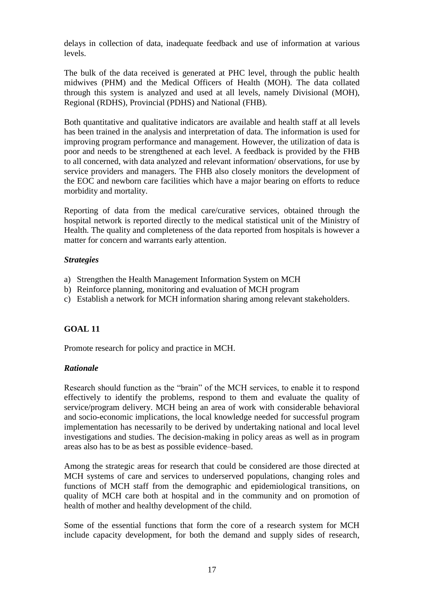delays in collection of data, inadequate feedback and use of information at various levels.

The bulk of the data received is generated at PHC level, through the public health midwives (PHM) and the Medical Officers of Health (MOH). The data collated through this system is analyzed and used at all levels, namely Divisional (MOH), Regional (RDHS), Provincial (PDHS) and National (FHB).

Both quantitative and qualitative indicators are available and health staff at all levels has been trained in the analysis and interpretation of data. The information is used for improving program performance and management. However, the utilization of data is poor and needs to be strengthened at each level. A feedback is provided by the FHB to all concerned, with data analyzed and relevant information/ observations, for use by service providers and managers. The FHB also closely monitors the development of the EOC and newborn care facilities which have a major bearing on efforts to reduce morbidity and mortality.

Reporting of data from the medical care/curative services, obtained through the hospital network is reported directly to the medical statistical unit of the Ministry of Health. The quality and completeness of the data reported from hospitals is however a matter for concern and warrants early attention.

#### *Strategies*

- a) Strengthen the Health Management Information System on MCH
- b) Reinforce planning, monitoring and evaluation of MCH program
- c) Establish a network for MCH information sharing among relevant stakeholders.

### **GOAL 11**

Promote research for policy and practice in MCH.

### *Rationale*

Research should function as the "brain" of the MCH services, to enable it to respond effectively to identify the problems, respond to them and evaluate the quality of service/program delivery. MCH being an area of work with considerable behavioral and socio-economic implications, the local knowledge needed for successful program implementation has necessarily to be derived by undertaking national and local level investigations and studies. The decision-making in policy areas as well as in program areas also has to be as best as possible evidence–based.

Among the strategic areas for research that could be considered are those directed at MCH systems of care and services to underserved populations, changing roles and functions of MCH staff from the demographic and epidemiological transitions, on quality of MCH care both at hospital and in the community and on promotion of health of mother and healthy development of the child.

Some of the essential functions that form the core of a research system for MCH include capacity development, for both the demand and supply sides of research,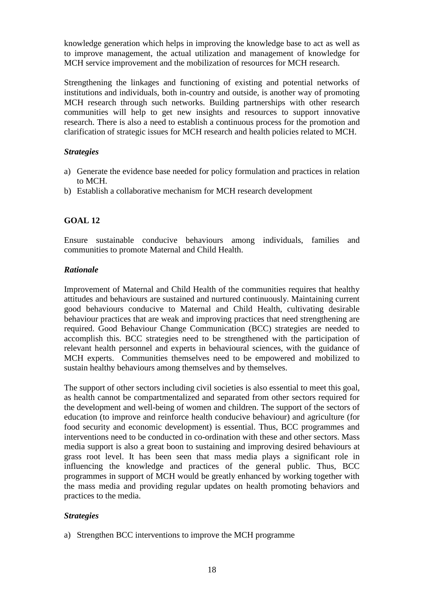knowledge generation which helps in improving the knowledge base to act as well as to improve management, the actual utilization and management of knowledge for MCH service improvement and the mobilization of resources for MCH research.

Strengthening the linkages and functioning of existing and potential networks of institutions and individuals, both in-country and outside, is another way of promoting MCH research through such networks. Building partnerships with other research communities will help to get new insights and resources to support innovative research. There is also a need to establish a continuous process for the promotion and clarification of strategic issues for MCH research and health policies related to MCH.

### *Strategies*

- a) Generate the evidence base needed for policy formulation and practices in relation to MCH.
- b) Establish a collaborative mechanism for MCH research development

## **GOAL 12**

Ensure sustainable conducive behaviours among individuals, families and communities to promote Maternal and Child Health.

#### *Rationale*

Improvement of Maternal and Child Health of the communities requires that healthy attitudes and behaviours are sustained and nurtured continuously. Maintaining current good behaviours conducive to Maternal and Child Health, cultivating desirable behaviour practices that are weak and improving practices that need strengthening are required. Good Behaviour Change Communication (BCC) strategies are needed to accomplish this. BCC strategies need to be strengthened with the participation of relevant health personnel and experts in behavioural sciences, with the guidance of MCH experts. Communities themselves need to be empowered and mobilized to sustain healthy behaviours among themselves and by themselves.

The support of other sectors including civil societies is also essential to meet this goal, as health cannot be compartmentalized and separated from other sectors required for the development and well-being of women and children. The support of the sectors of education (to improve and reinforce health conducive behaviour) and agriculture (for food security and economic development) is essential. Thus, BCC programmes and interventions need to be conducted in co-ordination with these and other sectors. Mass media support is also a great boon to sustaining and improving desired behaviours at grass root level. It has been seen that mass media plays a significant role in influencing the knowledge and practices of the general public. Thus, BCC programmes in support of MCH would be greatly enhanced by working together with the mass media and providing regular updates on health promoting behaviors and practices to the media.

#### *Strategies*

a) Strengthen BCC interventions to improve the MCH programme